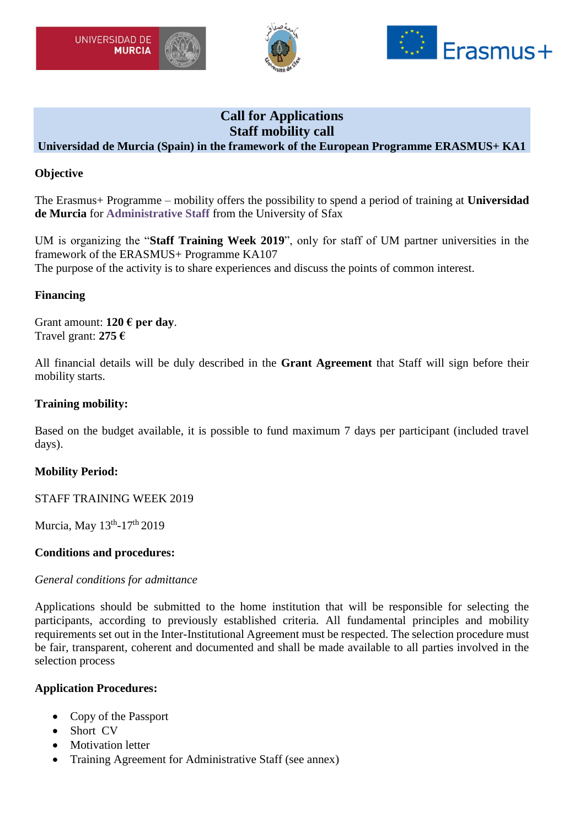





# **Call for Applications Staff mobility call**

## **Universidad de Murcia (Spain) in the framework of the European Programme ERASMUS+ KA1**

## **Objective**

The Erasmus+ Programme – mobility offers the possibility to spend a period of training at **Universidad de Murcia** for **Administrative Staff** from the University of Sfax

UM is organizing the "**Staff Training Week 2019**", only for staff of UM partner universities in the framework of the ERASMUS+ Programme KA107 The purpose of the activity is to share experiences and discuss the points of common interest.

#### **Financing**

Grant amount: **120 € per day**. Travel grant: **275 €**

All financial details will be duly described in the **Grant Agreement** that Staff will sign before their mobility starts.

#### **Training mobility:**

Based on the budget available, it is possible to fund maximum 7 days per participant (included travel days).

## **Mobility Period:**

STAFF TRAINING WEEK 2019

Murcia, May 13<sup>th</sup>-17<sup>th</sup> 2019

#### **Conditions and procedures:**

#### *General conditions for admittance*

Applications should be submitted to the home institution that will be responsible for selecting the participants, according to previously established criteria. All fundamental principles and mobility requirements set out in the Inter-Institutional Agreement must be respected. The selection procedure must be fair, transparent, coherent and documented and shall be made available to all parties involved in the selection process

#### **Application Procedures:**

- Copy of the Passport
- Short CV
- Motivation letter
- Training Agreement for Administrative Staff (see annex)